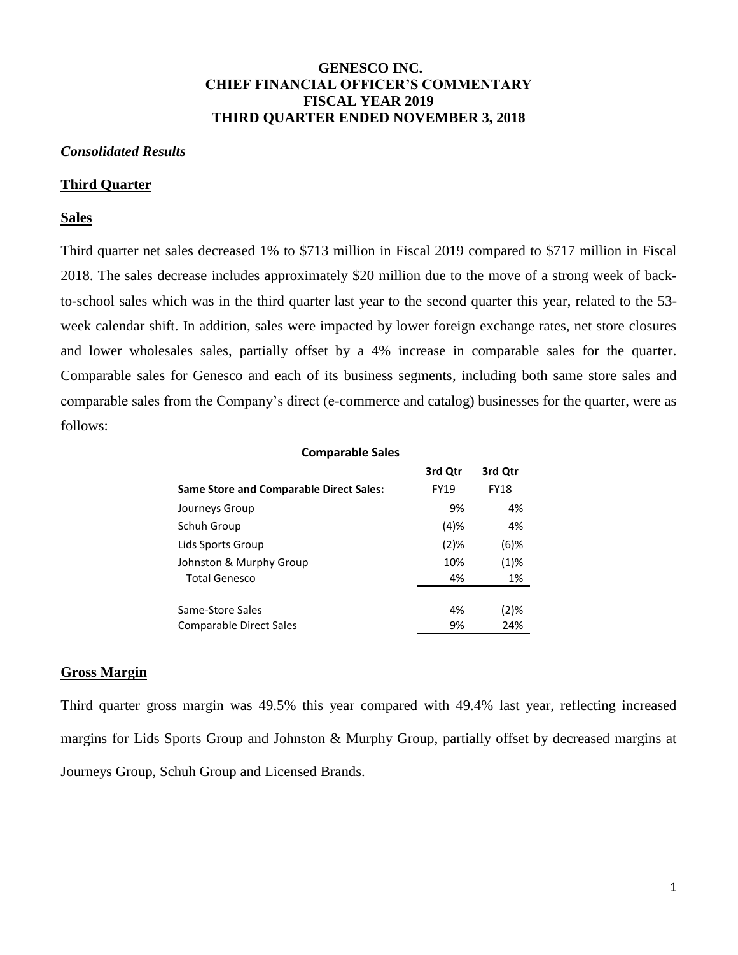# **GENESCO INC. CHIEF FINANCIAL OFFICER'S COMMENTARY FISCAL YEAR 2019 THIRD QUARTER ENDED NOVEMBER 3, 2018**

#### *Consolidated Results*

#### **Third Quarter**

## **Sales**

Third quarter net sales decreased 1% to \$713 million in Fiscal 2019 compared to \$717 million in Fiscal 2018. The sales decrease includes approximately \$20 million due to the move of a strong week of backto-school sales which was in the third quarter last year to the second quarter this year, related to the 53 week calendar shift. In addition, sales were impacted by lower foreign exchange rates, net store closures and lower wholesales sales, partially offset by a 4% increase in comparable sales for the quarter. Comparable sales for Genesco and each of its business segments, including both same store sales and comparable sales from the Company's direct (e-commerce and catalog) businesses for the quarter, were as follows:

| <b>Comparable Sales</b>                        |             |             |  |  |  |
|------------------------------------------------|-------------|-------------|--|--|--|
|                                                | 3rd Qtr     | 3rd Qtr     |  |  |  |
| <b>Same Store and Comparable Direct Sales:</b> | <b>FY19</b> | <b>FY18</b> |  |  |  |
| Journeys Group                                 | 9%          | 4%          |  |  |  |
| Schuh Group                                    | (4)%        | 4%          |  |  |  |
| Lids Sports Group                              | $(2)$ %     | $(6)$ %     |  |  |  |
| Johnston & Murphy Group                        | 10%         | (1)%        |  |  |  |
| <b>Total Genesco</b>                           | 4%          | 1%          |  |  |  |
|                                                |             |             |  |  |  |
| Same-Store Sales                               | 4%          | (2)%        |  |  |  |
| Comparable Direct Sales                        | 9%          | 24%         |  |  |  |

#### **Gross Margin**

Third quarter gross margin was 49.5% this year compared with 49.4% last year, reflecting increased margins for Lids Sports Group and Johnston & Murphy Group, partially offset by decreased margins at Journeys Group, Schuh Group and Licensed Brands.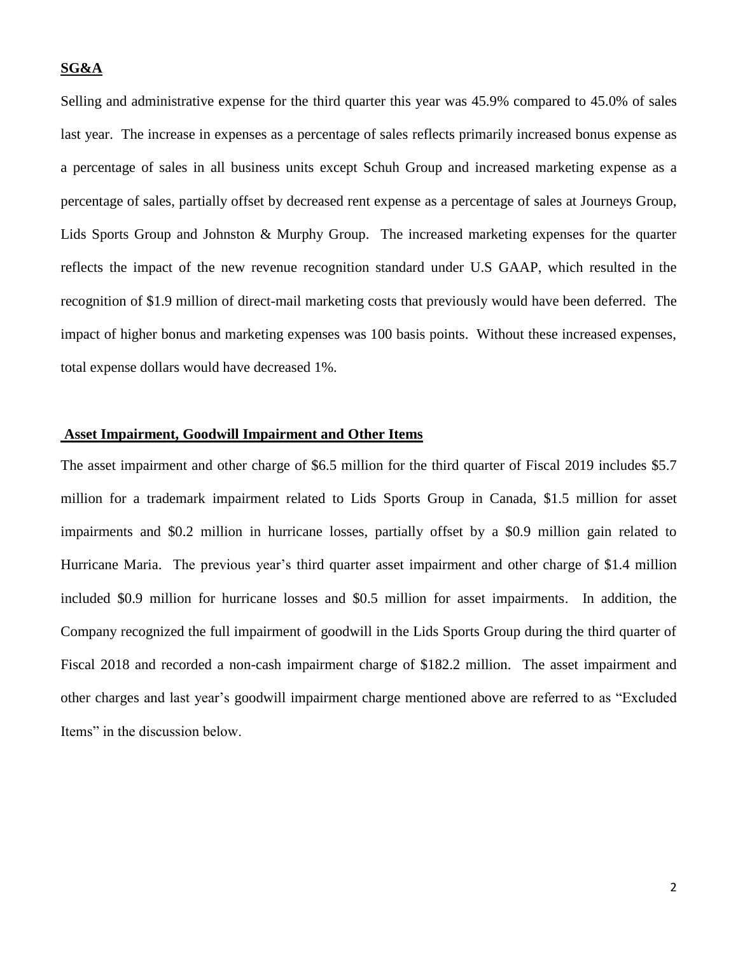## **SG&A**

Selling and administrative expense for the third quarter this year was 45.9% compared to 45.0% of sales last year. The increase in expenses as a percentage of sales reflects primarily increased bonus expense as a percentage of sales in all business units except Schuh Group and increased marketing expense as a percentage of sales, partially offset by decreased rent expense as a percentage of sales at Journeys Group, Lids Sports Group and Johnston & Murphy Group. The increased marketing expenses for the quarter reflects the impact of the new revenue recognition standard under U.S GAAP, which resulted in the recognition of \$1.9 million of direct-mail marketing costs that previously would have been deferred. The impact of higher bonus and marketing expenses was 100 basis points. Without these increased expenses, total expense dollars would have decreased 1%.

# **Asset Impairment, Goodwill Impairment and Other Items**

The asset impairment and other charge of \$6.5 million for the third quarter of Fiscal 2019 includes \$5.7 million for a trademark impairment related to Lids Sports Group in Canada, \$1.5 million for asset impairments and \$0.2 million in hurricane losses, partially offset by a \$0.9 million gain related to Hurricane Maria. The previous year's third quarter asset impairment and other charge of \$1.4 million included \$0.9 million for hurricane losses and \$0.5 million for asset impairments. In addition, the Company recognized the full impairment of goodwill in the Lids Sports Group during the third quarter of Fiscal 2018 and recorded a non-cash impairment charge of \$182.2 million. The asset impairment and other charges and last year's goodwill impairment charge mentioned above are referred to as "Excluded Items" in the discussion below.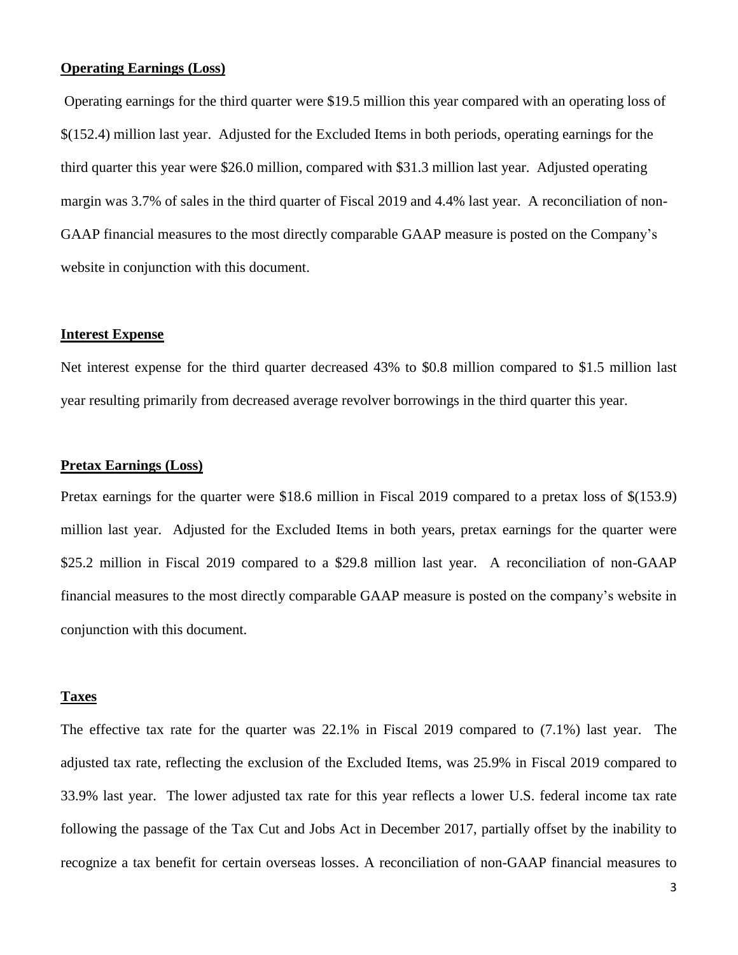# **Operating Earnings (Loss)**

Operating earnings for the third quarter were \$19.5 million this year compared with an operating loss of \$(152.4) million last year. Adjusted for the Excluded Items in both periods, operating earnings for the third quarter this year were \$26.0 million, compared with \$31.3 million last year. Adjusted operating margin was 3.7% of sales in the third quarter of Fiscal 2019 and 4.4% last year. A reconciliation of non-GAAP financial measures to the most directly comparable GAAP measure is posted on the Company's website in conjunction with this document.

## **Interest Expense**

Net interest expense for the third quarter decreased 43% to \$0.8 million compared to \$1.5 million last year resulting primarily from decreased average revolver borrowings in the third quarter this year.

# **Pretax Earnings (Loss)**

Pretax earnings for the quarter were \$18.6 million in Fiscal 2019 compared to a pretax loss of \$(153.9) million last year. Adjusted for the Excluded Items in both years, pretax earnings for the quarter were \$25.2 million in Fiscal 2019 compared to a \$29.8 million last year. A reconciliation of non-GAAP financial measures to the most directly comparable GAAP measure is posted on the company's website in conjunction with this document.

## **Taxes**

The effective tax rate for the quarter was 22.1% in Fiscal 2019 compared to (7.1%) last year. The adjusted tax rate, reflecting the exclusion of the Excluded Items, was 25.9% in Fiscal 2019 compared to 33.9% last year. The lower adjusted tax rate for this year reflects a lower U.S. federal income tax rate following the passage of the Tax Cut and Jobs Act in December 2017, partially offset by the inability to recognize a tax benefit for certain overseas losses. A reconciliation of non-GAAP financial measures to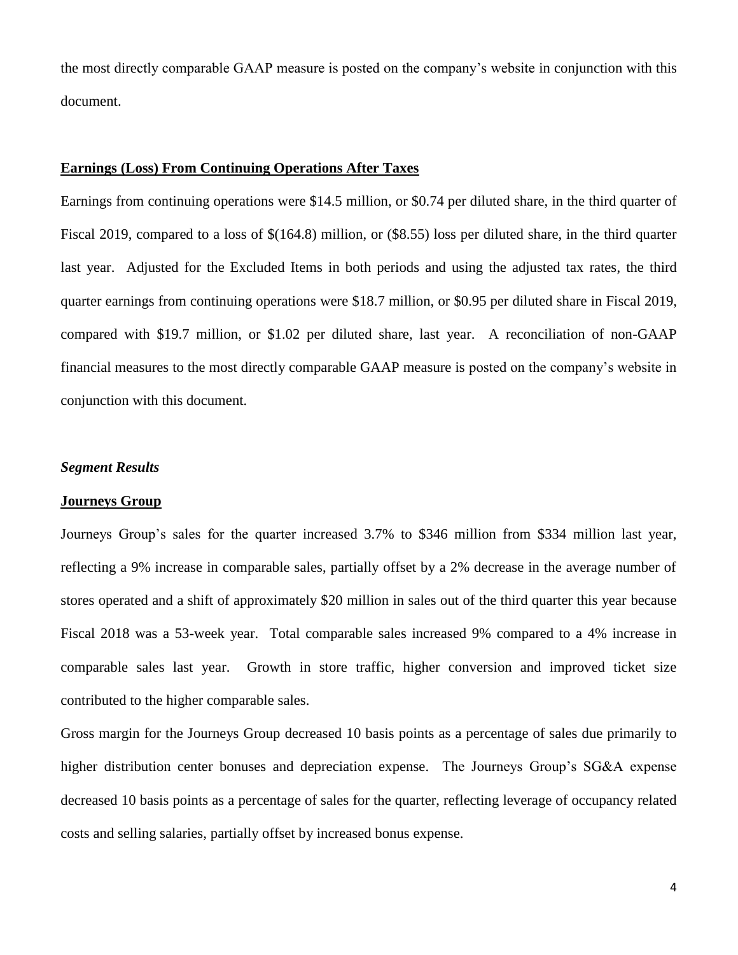the most directly comparable GAAP measure is posted on the company's website in conjunction with this document.

# **Earnings (Loss) From Continuing Operations After Taxes**

Earnings from continuing operations were \$14.5 million, or \$0.74 per diluted share, in the third quarter of Fiscal 2019, compared to a loss of \$(164.8) million, or (\$8.55) loss per diluted share, in the third quarter last year. Adjusted for the Excluded Items in both periods and using the adjusted tax rates, the third quarter earnings from continuing operations were \$18.7 million, or \$0.95 per diluted share in Fiscal 2019, compared with \$19.7 million, or \$1.02 per diluted share, last year. A reconciliation of non-GAAP financial measures to the most directly comparable GAAP measure is posted on the company's website in conjunction with this document.

## *Segment Results*

## **Journeys Group**

Journeys Group's sales for the quarter increased 3.7% to \$346 million from \$334 million last year, reflecting a 9% increase in comparable sales, partially offset by a 2% decrease in the average number of stores operated and a shift of approximately \$20 million in sales out of the third quarter this year because Fiscal 2018 was a 53-week year. Total comparable sales increased 9% compared to a 4% increase in comparable sales last year. Growth in store traffic, higher conversion and improved ticket size contributed to the higher comparable sales.

Gross margin for the Journeys Group decreased 10 basis points as a percentage of sales due primarily to higher distribution center bonuses and depreciation expense. The Journeys Group's SG&A expense decreased 10 basis points as a percentage of sales for the quarter, reflecting leverage of occupancy related costs and selling salaries, partially offset by increased bonus expense.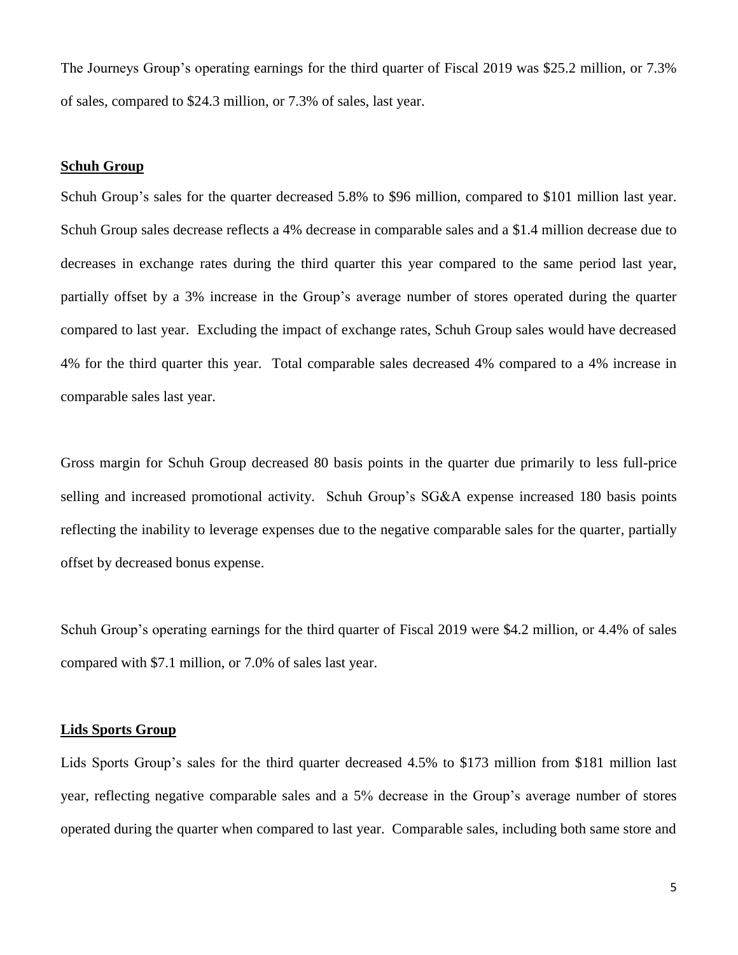The Journeys Group's operating earnings for the third quarter of Fiscal 2019 was \$25.2 million, or 7.3% of sales, compared to \$24.3 million, or 7.3% of sales, last year.

#### **Schuh Group**

Schuh Group's sales for the quarter decreased 5.8% to \$96 million, compared to \$101 million last year. Schuh Group sales decrease reflects a 4% decrease in comparable sales and a \$1.4 million decrease due to decreases in exchange rates during the third quarter this year compared to the same period last year, partially offset by a 3% increase in the Group's average number of stores operated during the quarter compared to last year. Excluding the impact of exchange rates, Schuh Group sales would have decreased 4% for the third quarter this year. Total comparable sales decreased 4% compared to a 4% increase in comparable sales last year.

Gross margin for Schuh Group decreased 80 basis points in the quarter due primarily to less full-price selling and increased promotional activity. Schuh Group's SG&A expense increased 180 basis points reflecting the inability to leverage expenses due to the negative comparable sales for the quarter, partially offset by decreased bonus expense.

Schuh Group's operating earnings for the third quarter of Fiscal 2019 were \$4.2 million, or 4.4% of sales compared with \$7.1 million, or 7.0% of sales last year.

#### **Lids Sports Group**

Lids Sports Group's sales for the third quarter decreased 4.5% to \$173 million from \$181 million last year, reflecting negative comparable sales and a 5% decrease in the Group's average number of stores operated during the quarter when compared to last year. Comparable sales, including both same store and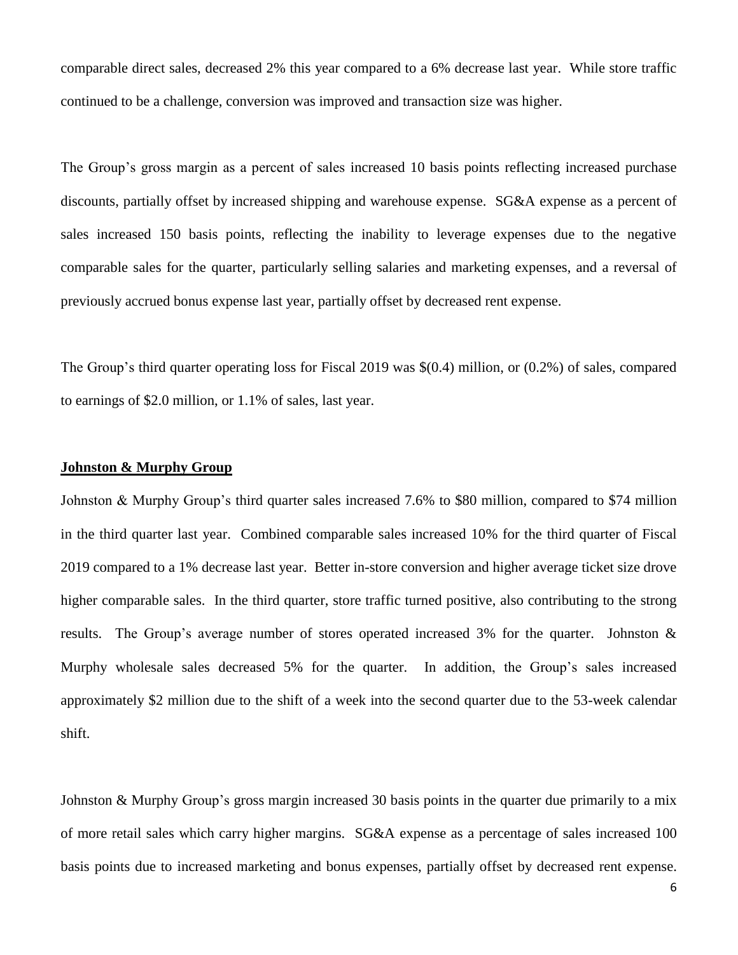comparable direct sales, decreased 2% this year compared to a 6% decrease last year. While store traffic continued to be a challenge, conversion was improved and transaction size was higher.

The Group's gross margin as a percent of sales increased 10 basis points reflecting increased purchase discounts, partially offset by increased shipping and warehouse expense. SG&A expense as a percent of sales increased 150 basis points, reflecting the inability to leverage expenses due to the negative comparable sales for the quarter, particularly selling salaries and marketing expenses, and a reversal of previously accrued bonus expense last year, partially offset by decreased rent expense.

The Group's third quarter operating loss for Fiscal 2019 was \$(0.4) million, or (0.2%) of sales, compared to earnings of \$2.0 million, or 1.1% of sales, last year.

## **Johnston & Murphy Group**

Johnston & Murphy Group's third quarter sales increased 7.6% to \$80 million, compared to \$74 million in the third quarter last year. Combined comparable sales increased 10% for the third quarter of Fiscal 2019 compared to a 1% decrease last year. Better in-store conversion and higher average ticket size drove higher comparable sales. In the third quarter, store traffic turned positive, also contributing to the strong results. The Group's average number of stores operated increased 3% for the quarter. Johnston & Murphy wholesale sales decreased 5% for the quarter. In addition, the Group's sales increased approximately \$2 million due to the shift of a week into the second quarter due to the 53-week calendar shift.

Johnston & Murphy Group's gross margin increased 30 basis points in the quarter due primarily to a mix of more retail sales which carry higher margins. SG&A expense as a percentage of sales increased 100 basis points due to increased marketing and bonus expenses, partially offset by decreased rent expense.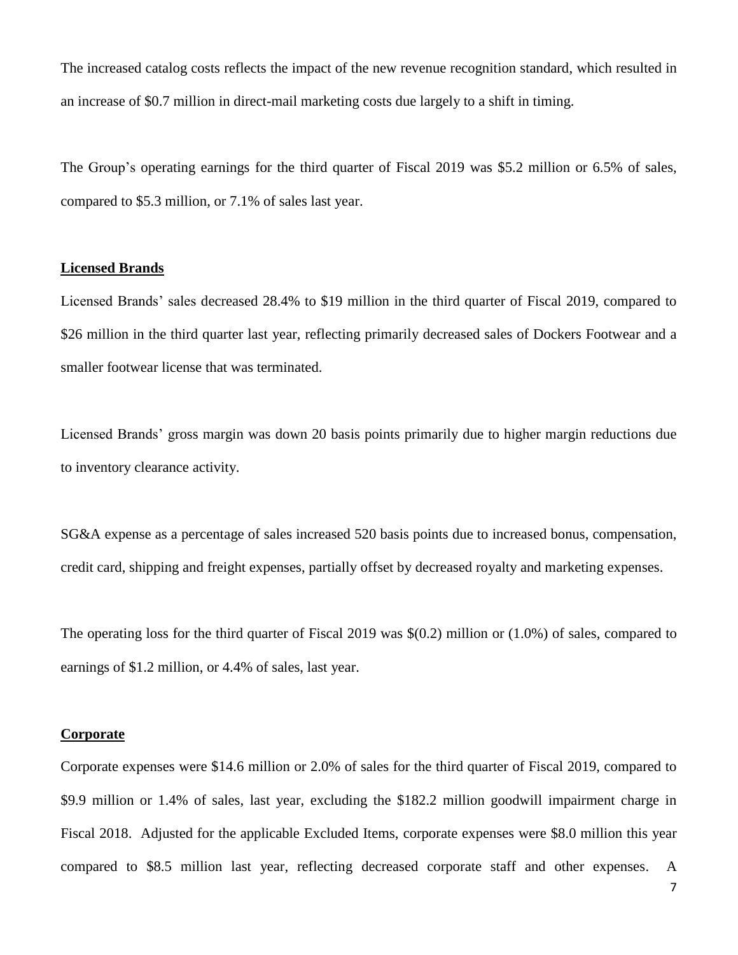The increased catalog costs reflects the impact of the new revenue recognition standard, which resulted in an increase of \$0.7 million in direct-mail marketing costs due largely to a shift in timing.

The Group's operating earnings for the third quarter of Fiscal 2019 was \$5.2 million or 6.5% of sales, compared to \$5.3 million, or 7.1% of sales last year.

#### **Licensed Brands**

Licensed Brands' sales decreased 28.4% to \$19 million in the third quarter of Fiscal 2019, compared to \$26 million in the third quarter last year, reflecting primarily decreased sales of Dockers Footwear and a smaller footwear license that was terminated.

Licensed Brands' gross margin was down 20 basis points primarily due to higher margin reductions due to inventory clearance activity.

SG&A expense as a percentage of sales increased 520 basis points due to increased bonus, compensation, credit card, shipping and freight expenses, partially offset by decreased royalty and marketing expenses.

The operating loss for the third quarter of Fiscal 2019 was \$(0.2) million or (1.0%) of sales, compared to earnings of \$1.2 million, or 4.4% of sales, last year.

#### **Corporate**

Corporate expenses were \$14.6 million or 2.0% of sales for the third quarter of Fiscal 2019, compared to \$9.9 million or 1.4% of sales, last year, excluding the \$182.2 million goodwill impairment charge in Fiscal 2018. Adjusted for the applicable Excluded Items, corporate expenses were \$8.0 million this year compared to \$8.5 million last year, reflecting decreased corporate staff and other expenses. A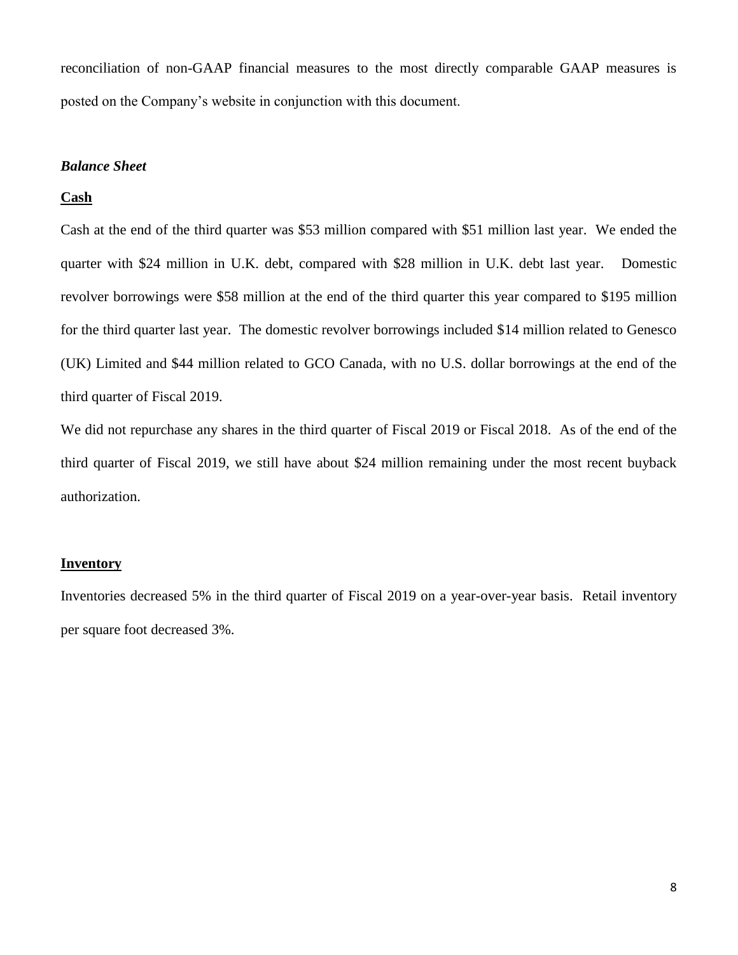reconciliation of non-GAAP financial measures to the most directly comparable GAAP measures is posted on the Company's website in conjunction with this document.

# *Balance Sheet*

#### **Cash**

Cash at the end of the third quarter was \$53 million compared with \$51 million last year. We ended the quarter with \$24 million in U.K. debt, compared with \$28 million in U.K. debt last year. Domestic revolver borrowings were \$58 million at the end of the third quarter this year compared to \$195 million for the third quarter last year. The domestic revolver borrowings included \$14 million related to Genesco (UK) Limited and \$44 million related to GCO Canada, with no U.S. dollar borrowings at the end of the third quarter of Fiscal 2019.

We did not repurchase any shares in the third quarter of Fiscal 2019 or Fiscal 2018. As of the end of the third quarter of Fiscal 2019, we still have about \$24 million remaining under the most recent buyback authorization.

## **Inventory**

Inventories decreased 5% in the third quarter of Fiscal 2019 on a year-over-year basis. Retail inventory per square foot decreased 3%.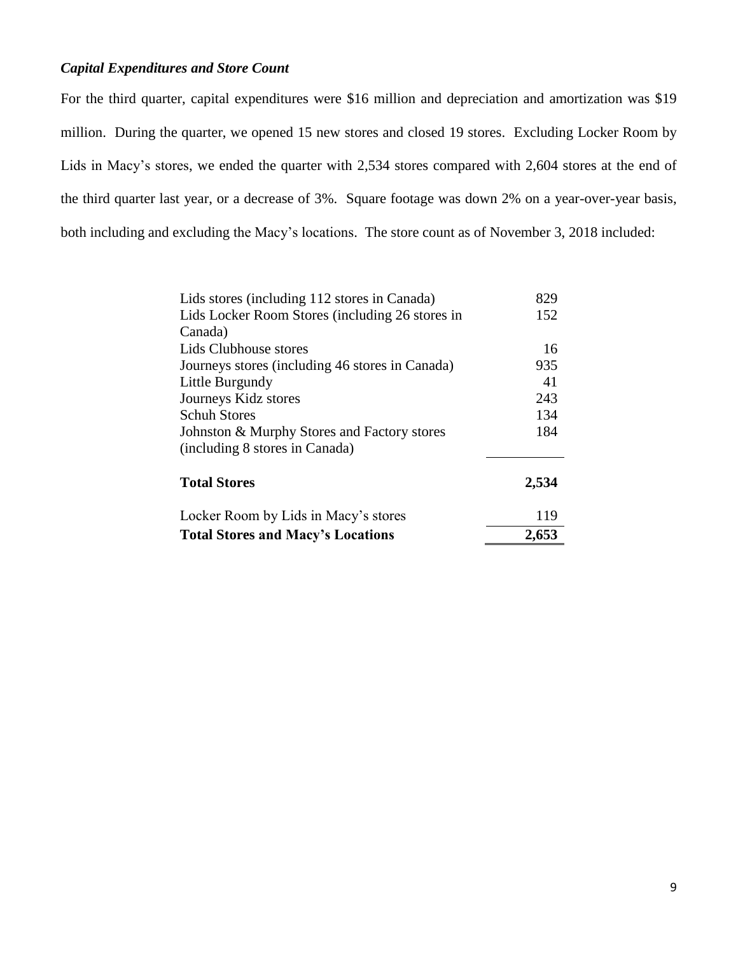# *Capital Expenditures and Store Count*

For the third quarter, capital expenditures were \$16 million and depreciation and amortization was \$19 million. During the quarter, we opened 15 new stores and closed 19 stores. Excluding Locker Room by Lids in Macy's stores, we ended the quarter with 2,534 stores compared with 2,604 stores at the end of the third quarter last year, or a decrease of 3%. Square footage was down 2% on a year-over-year basis, both including and excluding the Macy's locations. The store count as of November 3, 2018 included:

| Lids Locker Room Stores (including 26 stores in<br>Canada) | 152   |
|------------------------------------------------------------|-------|
| Lids Clubhouse stores                                      | 16    |
| Journeys stores (including 46 stores in Canada)            | 935   |
| Little Burgundy                                            | 41    |
| Journeys Kidz stores                                       | 243   |
| <b>Schuh Stores</b>                                        | 134   |
| Johnston & Murphy Stores and Factory stores                | 184   |
| (including 8 stores in Canada)                             |       |
| <b>Total Stores</b>                                        | 2,534 |
| Locker Room by Lids in Macy's stores                       | 119   |
| <b>Total Stores and Macy's Locations</b>                   | 2,653 |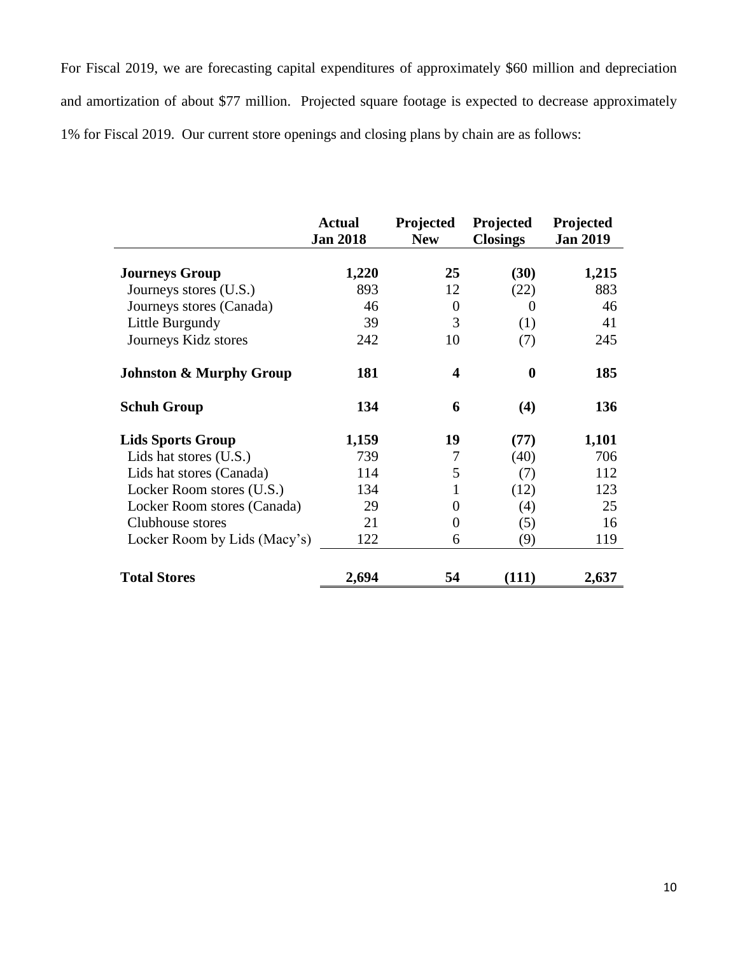For Fiscal 2019, we are forecasting capital expenditures of approximately \$60 million and depreciation and amortization of about \$77 million. Projected square footage is expected to decrease approximately 1% for Fiscal 2019. Our current store openings and closing plans by chain are as follows:

|                                    | <b>Actual</b><br><b>Jan 2018</b> | Projected<br><b>New</b> | Projected<br><b>Closings</b> | Projected<br><b>Jan 2019</b> |
|------------------------------------|----------------------------------|-------------------------|------------------------------|------------------------------|
| <b>Journeys Group</b>              | 1,220                            | 25                      | (30)                         | 1,215                        |
| Journeys stores (U.S.)             | 893                              | 12                      | (22)                         | 883                          |
| Journeys stores (Canada)           | 46                               | $\overline{0}$          | $\Omega$                     | 46                           |
| Little Burgundy                    | 39                               | 3                       | (1)                          | 41                           |
| Journeys Kidz stores               | 242                              | 10                      | (7)                          | 245                          |
| <b>Johnston &amp; Murphy Group</b> | 181                              | 4                       | $\boldsymbol{0}$             | 185                          |
| <b>Schuh Group</b>                 | 134                              | 6                       | (4)                          | 136                          |
| <b>Lids Sports Group</b>           | 1,159                            | 19                      | (77)                         | 1,101                        |
| Lids hat stores (U.S.)             | 739                              | 7                       | (40)                         | 706                          |
| Lids hat stores (Canada)           | 114                              | 5                       | (7)                          | 112                          |
| Locker Room stores (U.S.)          | 134                              | 1                       | (12)                         | 123                          |
| Locker Room stores (Canada)        | 29                               | 0                       | (4)                          | 25                           |
| Clubhouse stores                   | 21                               | 0                       | (5)                          | 16                           |
| Locker Room by Lids (Macy's)       | 122                              | 6                       | (9)                          | 119                          |
| <b>Total Stores</b>                | 2,694                            | 54                      | (111)                        | 2,637                        |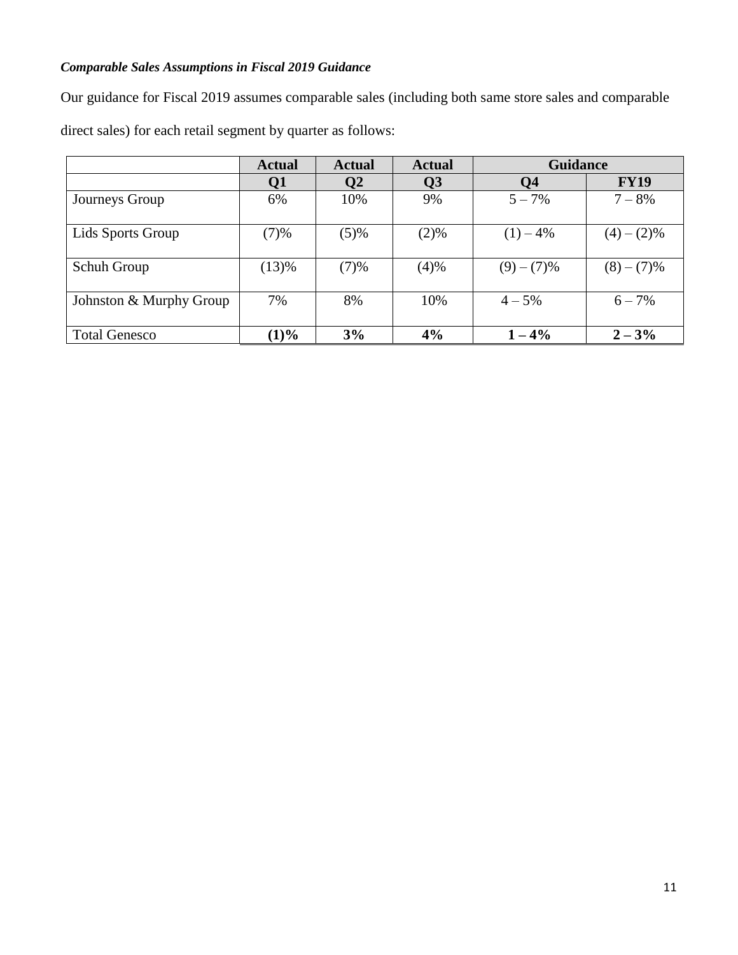# *Comparable Sales Assumptions in Fiscal 2019 Guidance*

Our guidance for Fiscal 2019 assumes comparable sales (including both same store sales and comparable

direct sales) for each retail segment by quarter as follows:

|                         | <b>Actual</b> | <b>Actual</b> | <b>Actual</b>   | <b>Guidance</b> |             |
|-------------------------|---------------|---------------|-----------------|-----------------|-------------|
|                         | Q1            | $\mathbf{Q}$  | $\overline{Q}3$ | Q4              | <b>FY19</b> |
| Journeys Group          | 6%            | 10%           | 9%              | $5 - 7\%$       | $7 - 8\%$   |
| Lids Sports Group       | (7)%          | (5)%          | (2)%            | $(1) - 4\%$     | $(4)-(2)\%$ |
| Schuh Group             | (13)%         | (7)%          | (4)%            | $(9)-(7)\%$     | $(8)-(7)\%$ |
| Johnston & Murphy Group | 7%            | 8%            | 10%             | $4 - 5\%$       | $6 - 7\%$   |
| <b>Total Genesco</b>    | (1)%          | 3%            | 4%              | $1 - 4\%$       | $2 - 3\%$   |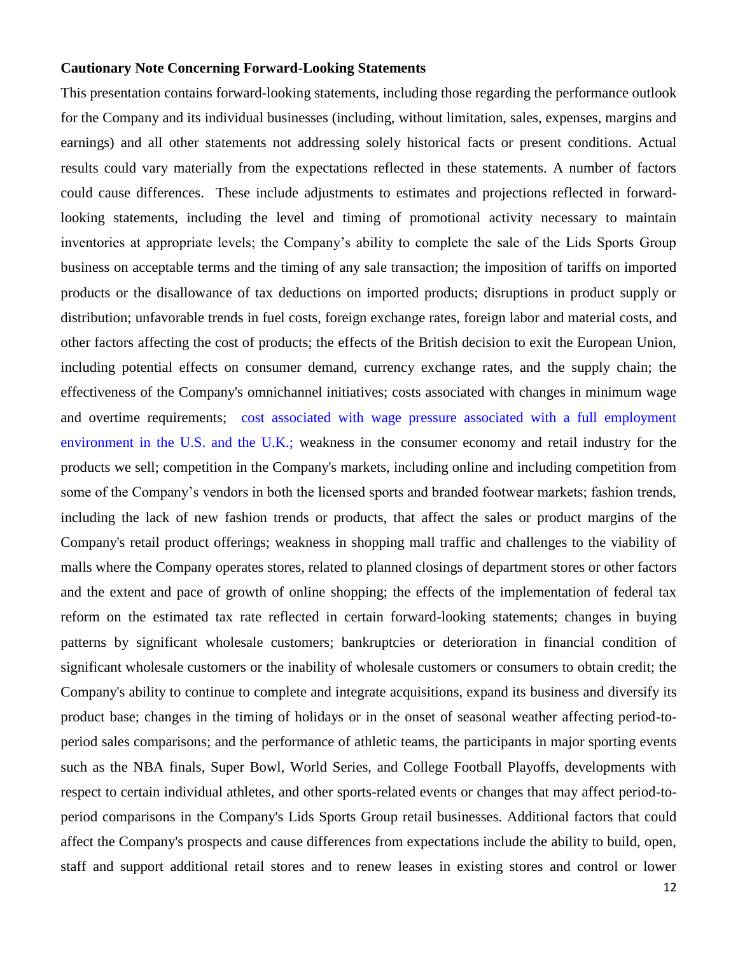## **Cautionary Note Concerning Forward-Looking Statements**

This presentation contains forward-looking statements, including those regarding the performance outlook for the Company and its individual businesses (including, without limitation, sales, expenses, margins and earnings) and all other statements not addressing solely historical facts or present conditions. Actual results could vary materially from the expectations reflected in these statements. A number of factors could cause differences. These include adjustments to estimates and projections reflected in forwardlooking statements, including the level and timing of promotional activity necessary to maintain inventories at appropriate levels; the Company's ability to complete the sale of the Lids Sports Group business on acceptable terms and the timing of any sale transaction; the imposition of tariffs on imported products or the disallowance of tax deductions on imported products; disruptions in product supply or distribution; unfavorable trends in fuel costs, foreign exchange rates, foreign labor and material costs, and other factors affecting the cost of products; the effects of the British decision to exit the European Union, including potential effects on consumer demand, currency exchange rates, and the supply chain; the effectiveness of the Company's omnichannel initiatives; costs associated with changes in minimum wage and overtime requirements; cost associated with wage pressure associated with a full employment environment in the U.S. and the U.K.; weakness in the consumer economy and retail industry for the products we sell; competition in the Company's markets, including online and including competition from some of the Company's vendors in both the licensed sports and branded footwear markets; fashion trends, including the lack of new fashion trends or products, that affect the sales or product margins of the Company's retail product offerings; weakness in shopping mall traffic and challenges to the viability of malls where the Company operates stores, related to planned closings of department stores or other factors and the extent and pace of growth of online shopping; the effects of the implementation of federal tax reform on the estimated tax rate reflected in certain forward-looking statements; changes in buying patterns by significant wholesale customers; bankruptcies or deterioration in financial condition of significant wholesale customers or the inability of wholesale customers or consumers to obtain credit; the Company's ability to continue to complete and integrate acquisitions, expand its business and diversify its product base; changes in the timing of holidays or in the onset of seasonal weather affecting period-toperiod sales comparisons; and the performance of athletic teams, the participants in major sporting events such as the NBA finals, Super Bowl, World Series, and College Football Playoffs, developments with respect to certain individual athletes, and other sports-related events or changes that may affect period-toperiod comparisons in the Company's Lids Sports Group retail businesses. Additional factors that could affect the Company's prospects and cause differences from expectations include the ability to build, open, staff and support additional retail stores and to renew leases in existing stores and control or lower